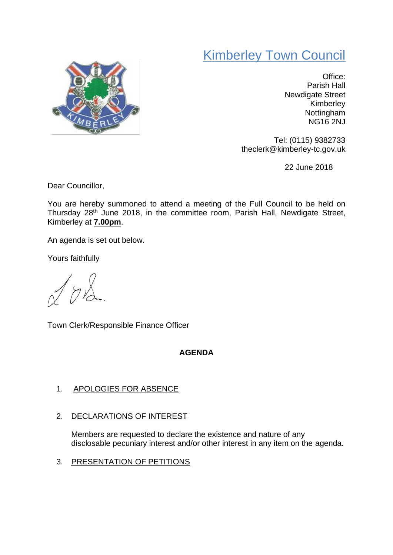## Kimberley Town Council



Office: Parish Hall Newdigate Street Kimberley **Nottingham** NG16 2NJ

Tel: (0115) 9382733 theclerk@kimberley-tc.gov.uk

22 June 2018

Dear Councillor,

You are hereby summoned to attend a meeting of the Full Council to be held on Thursday 28th June 2018, in the committee room, Parish Hall, Newdigate Street, Kimberley at **7.00pm**.

An agenda is set out below.

Yours faithfully

 $\gamma$ 

Town Clerk/Responsible Finance Officer

## **AGENDA**

## 1. APOLOGIES FOR ABSENCE

2. DECLARATIONS OF INTEREST

Members are requested to declare the existence and nature of any disclosable pecuniary interest and/or other interest in any item on the agenda.

3. PRESENTATION OF PETITIONS